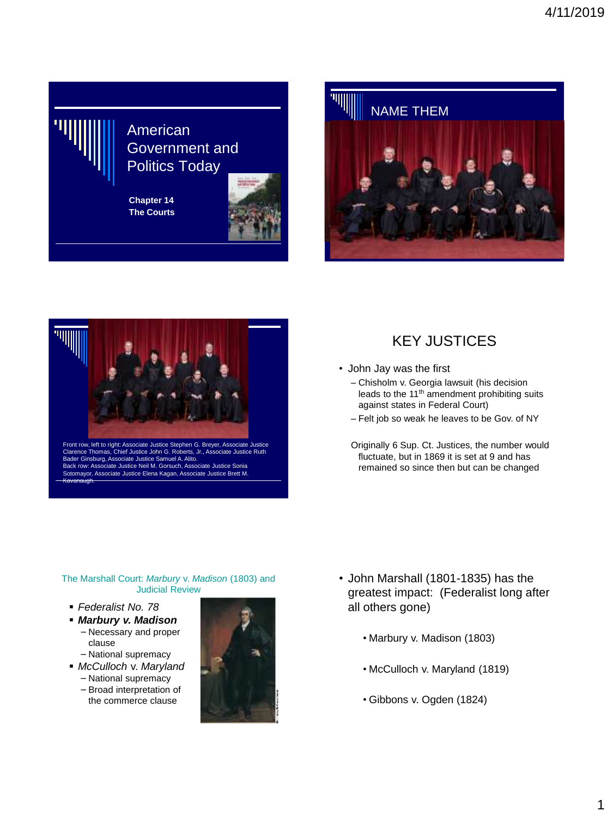

**Chapter 14 The Courts**







Front row, left to right: Associate Justice Stephen G. Breyer, Associate Justice ce Thomas, Chief Justice John G. Robert Bader Ginsburg, Associate Justice Samuel A. Alito. Back row: Associate Justice Neil M. Gorsuch, Associate Justice Sonia Sotomayor, Associate Justice Elena Kagan, Associate Justice Brett M. Kavanaugh.

## KEY JUSTICES

- John Jay was the first
	- Chisholm v. Georgia lawsuit (his decision leads to the 11<sup>th</sup> amendment prohibiting suits against states in Federal Court)
	- Felt job so weak he leaves to be Gov. of NY
	- Originally 6 Sup. Ct. Justices, the number would fluctuate, but in 1869 it is set at 9 and has remained so since then but can be changed

#### The Marshall Court: *Marbury* v. *Madison* (1803) and Judicial Review

- *Federalist No. 78*
- *Marbury v. Madison*

#### – Necessary and proper clause

- National supremacy
- *McCulloch* v. *Maryland* – National supremacy
	- Broad interpretation of
	- the commerce clause



- John Marshall (1801-1835) has the greatest impact: (Federalist long after all others gone)
	- Marbury v. Madison (1803)
	- McCulloch v. Maryland (1819)
	- Gibbons v. Ogden (1824)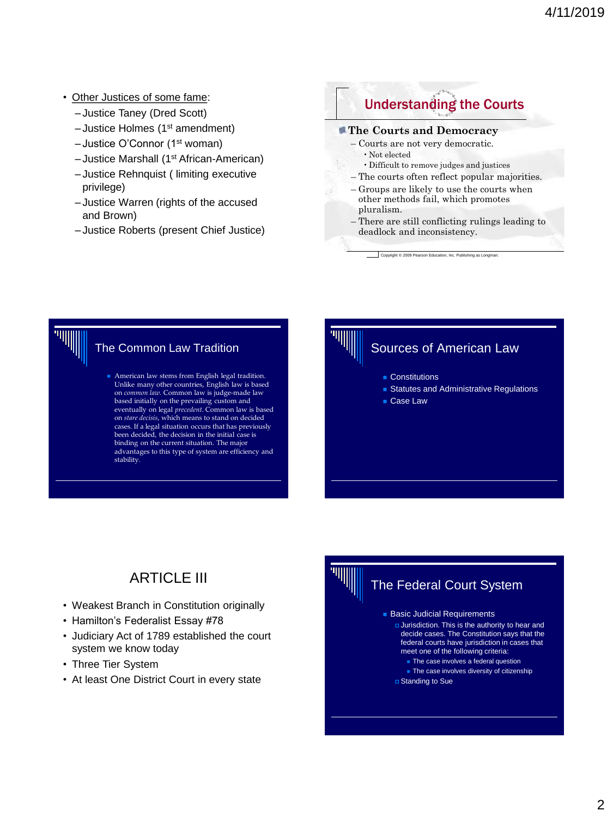- Other Justices of some fame:
	- Justice Taney (Dred Scott)
	- Justice Holmes (1st amendment)
	- Justice O'Connor (1st woman)
	- Justice Marshall (1st African-American)
	- Justice Rehnquist ( limiting executive privilege)
	- Justice Warren (rights of the accused and Brown)
	- Justice Roberts (present Chief Justice)

## Understanding the Courts

#### **The Courts and Democracy**

- Courts are not very democratic.
	- Not elected
	- •Difficult to remove judges and justices
- The courts often reflect popular majorities.
- Groups are likely to use the courts when other methods fail, which promotes pluralism.
- There are still conflicting rulings leading to deadlock and inconsistency.

Copyright © 2009 Pearson Education, Inc. Publishing as Longman



■ American law stems from English legal tradition.<br>Unlike many other countries, English law is based on *common law.* Common law is judge-made law based initially on the prevailing custom and eventually on legal *precedent*. Common law is based on *stare decisis*, which means to stand on decided cases. If a legal situation occurs that has previously been decided, the decision in the initial case is binding on the current situation. The major advantages to this type of system are efficiency and stability.



## Sources of American Law

- Constitutions
- Statutes and Administrative Regulations
- Case Law

# **ARTICLE III**

- Weakest Branch in Constitution originally
- Hamilton's Federalist Essay #78
- Judiciary Act of 1789 established the court system we know today
- Three Tier System
- At least One District Court in every state

#### The Federal Court System ■ Basic Judicial Requirements Jurisdiction. This is the authority to hear and decide cases. The Constitution says that the federal courts have jurisdiction in cases that meet one of the following criteria: ■ The case involves a federal question ■ The case involves diversity of citizenship Standing to Sue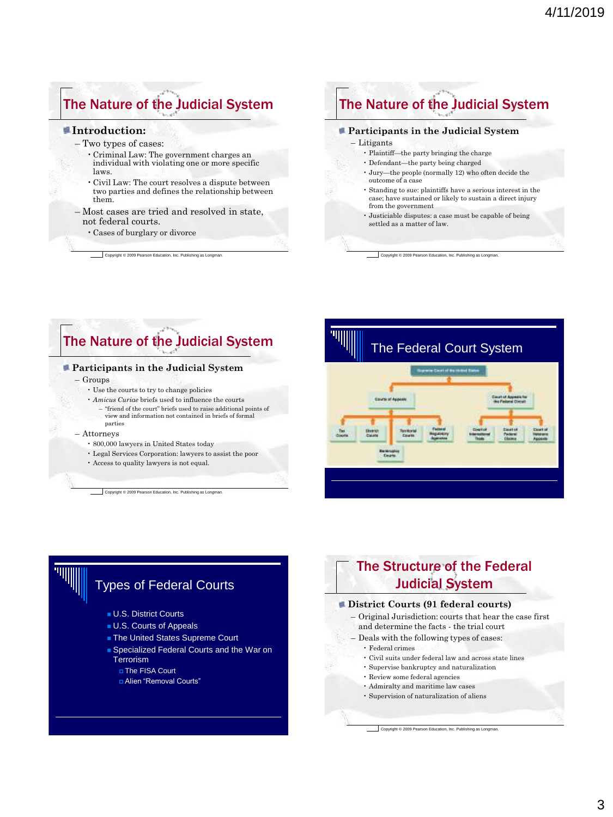# The Nature of the Judicial System

#### **Introduction:**

- Two types of cases:
	- •Criminal Law: The government charges an individual with violating one or more specific laws.
	- •Civil Law: The court resolves a dispute between two parties and defines the relationship between them.
- Most cases are tried and resolved in state, not federal courts.
	- •Cases of burglary or divorce

Copyright © 2009 Pearson Education, Inc. Publishing as Longman.

## The Nature of the Judicial System

#### **Participants in the Judicial System**

#### – Litigants

- Plaintiff—the party bringing the charge
- Defendant—the party being charged
- Jury—the people (normally 12) who often decide the outcome of a case
- Standing to sue: plaintiffs have a serious interest in the case; have sustained or likely to sustain a direct injury from the government
- Justiciable disputes: a case must be capable of being settled as a matter of law.

Copyright © 2009 Pearson Education, Inc. Publishing as Longman

# The Nature of the Judicial System

#### **Participants in the Judicial System**

– Groups

- Use the courts to try to change policies
- *Amicus Curiae* briefs used to influence the courts
	- "friend of the court" briefs used to raise additional points of view and information not contained in briefs of formal parties
- Attorneys
	- 800,000 lawyers in United States today
	- Legal Services Corporation: lawyers to assist the poor

• Access to quality lawyers is not equal.

Copyright © 2009 Pearson Education, Inc. Publishing as Longman.



## Types of Federal Courts

- U.S. District Courts
- U.S. Courts of Appeals
- The United States Supreme Court
- Specialized Federal Courts and the War on **Terrorism** 
	- The FISA Court
	- Alien "Removal Courts"

## The Structure of the Federal Judicial System

#### **District Courts (91 federal courts)**

- Original Jurisdiction: courts that hear the case first and determine the facts - the trial court
- Deals with the following types of cases:
	- Federal crimes
	- Civil suits under federal law and across state lines
	- Supervise bankruptcy and naturalization
	- Review some federal agencies
	- Admiralty and maritime law cases
	- Supervision of naturalization of aliens

Copyright © 2009 Pearson Education, Inc. Publishing as Longman.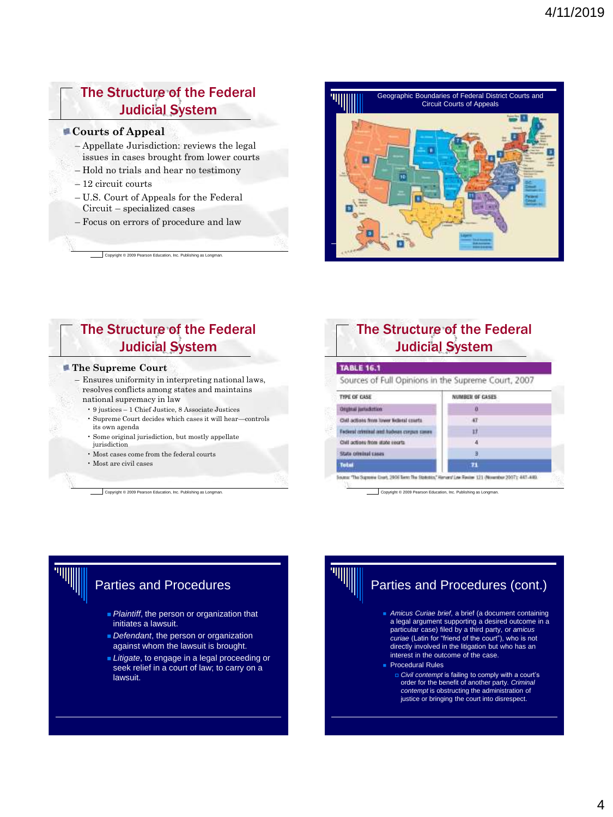## The Structure of the Federal Judicial System

#### **Courts of Appeal**

- Appellate Jurisdiction: reviews the legal issues in cases brought from lower courts
- Hold no trials and hear no testimony
- 12 circuit courts
- U.S. Court of Appeals for the Federal Circuit – specialized cases
- Focus on errors of procedure and law

Copyright © 2009 Pearson Education, Inc. Publishing as Longman.



## The Structure of the Federal Judicial System

#### **The Supreme Court**

- Ensures uniformity in interpreting national laws, resolves conflicts among states and maintains national supremacy in law
	- 9 justices 1 Chief Justice, 8 Associate Justices
	- Supreme Court decides which cases it will hear—controls its own agenda
	- Some original jurisdiction, but mostly appellate jurisdiction
	- Most cases come from the federal courts
	- Most are civil cases

Copyright © 2009 Pearson Education, Inc. Publishing as Longman.

## The Structure of the Federal Judicial System

| Sources of Full Opinions in the Supreme Court, 2007 |                 |
|-----------------------------------------------------|-----------------|
| THRE OF CASE                                        | NUMBER OF CASES |
| <b>Orginal jurisdiction</b>                         |                 |
| OVI actions from lower listintal criefs.            | 47              |
| Factoral criminal and habeas corpus cases           | 11              |
| Civil actions from state yearts.                    |                 |
| State criminal cases                                | 3               |
| <b>Tatal</b>                                        | 71              |

Copyright © 2009 Pearson Education, Inc. Publishing as Longman.



## Parties and Procedures

- Plaintiff, the person or organization that initiates a lawsuit.
- *Defendant*, the person or organization against whom the lawsuit is brought.
- **Litigate**, to engage in a legal proceeding or seek relief in a court of law; to carry on a lawsuit.

# Parties and Procedures (cont.)

- *Amicus Curiae brief*, a brief (a document containing a legal argument supporting a desired outcome in a particular case) filed by a third party, or *amicus curiae* (Latin for "friend of the court"), who is not directly involved in the litigation but who has an interest in the outcome of the case. **Procedural Rules** 
	- *Civil contempt* is failing to comply with a court's order for the benefit of another party. *Criminal contempt* is obstructing the administration of justice or bringing the court into disrespect.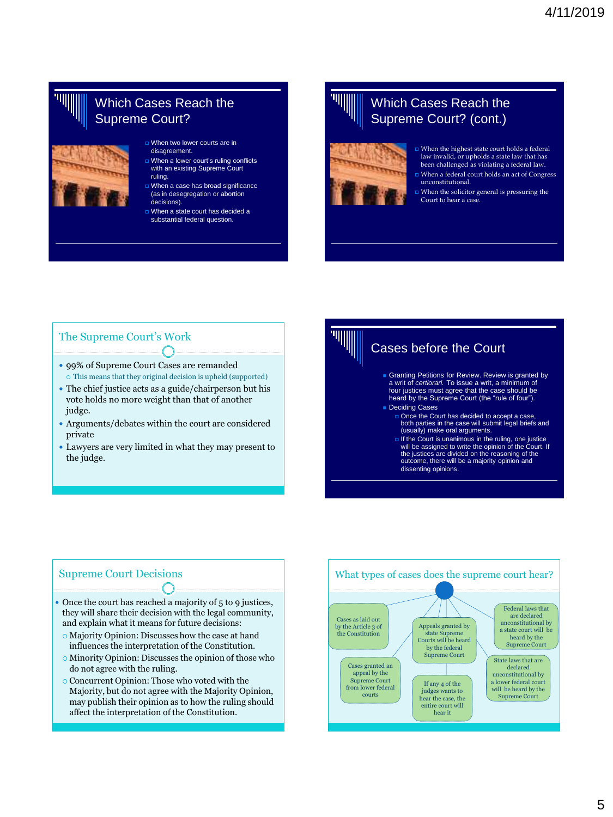## Which Cases Reach the Supreme Court?

- 
- When two lower courts are in disagreement.
- When a lower court's ruling conflicts with an existing Supreme Court ruling.
- When a case has broad significance (as in desegregation or abortion decisions).
- When a state court has decided a substantial federal question.

## Which Cases Reach the Supreme Court? (cont.)



- When the highest state court holds a federal law invalid, or upholds a state law that has been challenged as violating a federal law.
- When a federal court holds an act of Congress unconstitutional.
- $\Box$  <br> When the solicitor general is pressuring the Court to hear a case.

### The Supreme Court's Work

- 99% of Supreme Court Cases are remanded This means that they original decision is upheld (supported)
- The chief justice acts as a guide/chairperson but his vote holds no more weight than that of another judge.
- Arguments/debates within the court are considered private
- Lawyers are very limited in what they may present to the judge.

# Cases before the Court ■ Granting Petitions for Review. Review is granted by<br>a writ of *certiorari*. To issue a writ, a minimum of four justices must agree that the case should be heard by the Supreme Court (the "rule of four").

- Deciding Cases
	- Once the Court has decided to accept a case,<br>both parties in the case will submit legal briefs and (usually) make oral arguments.
	- If the Court is unanimous in the ruling, one justice will be assigned to write the opinion of the Court. If the justices are divided on the reasoning of the outcome, there will be a majority opinion and dissenting opinions.

#### Supreme Court Decisions

- Once the court has reached a majority of 5 to 9 justices, they will share their decision with the legal community, and explain what it means for future decisions:
- Majority Opinion: Discusses how the case at hand influences the interpretation of the Constitution.
- Minority Opinion: Discusses the opinion of those who do not agree with the ruling.
- Concurrent Opinion: Those who voted with the Majority, but do not agree with the Majority Opinion, may publish their opinion as to how the ruling should affect the interpretation of the Constitution.

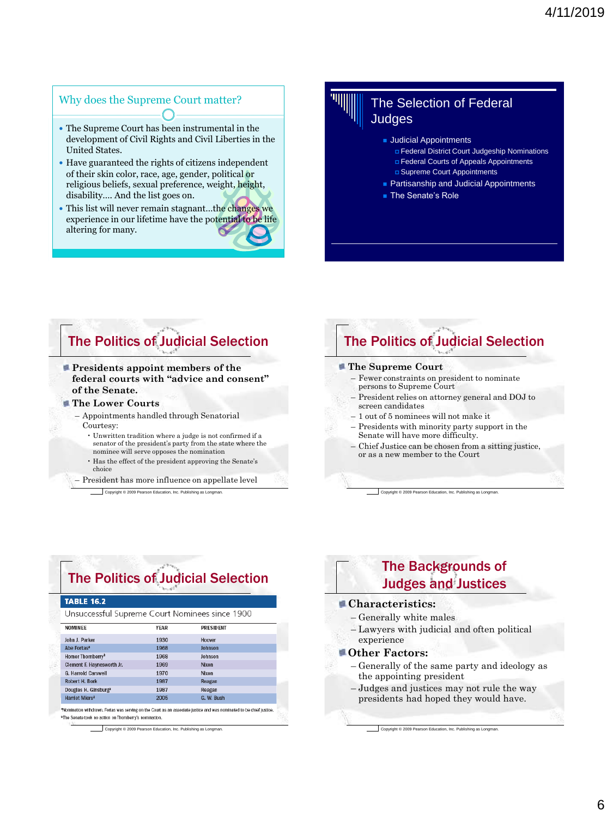## Why does the Supreme Court matter?

- The Supreme Court has been instrumental in the development of Civil Rights and Civil Liberties in the United States.
- Have guaranteed the rights of citizens independent of their skin color, race, age, gender, political or religious beliefs, sexual preference, weight, height, disability…. And the list goes on.
- This list will never remain stagnant...the changes we experience in our lifetime have the potential to be life altering for many.

## The Selection of Federal Judges

- **Judicial Appointments** 
	- Federal District Court Judgeship Nominations
	- Federal Courts of Appeals Appointments
	- Supreme Court Appointments
- Partisanship and Judicial Appointments
- The Senate's Role

# The Politics of Judicial Selection

- **Presidents appoint members of the federal courts with "advice and consent" of the Senate.**
- **The Lower Courts**
	- Appointments handled through Senatorial Courtesy:
		- Unwritten tradition where a judge is not confirmed if a senator of the president's party from the state where the nominee will serve opposes the nomination
		- Has the effect of the president approving the Senate's choice
	- President has more influence on appellate level

Copyright © 2009 Pearson Education, Inc. Publishing as Longman.

## The Politics of Judicial Selection

#### **The Supreme Court**

- Fewer constraints on president to nominate persons to Supreme Court
- President relies on attorney general and DOJ to screen candidates
- 1 out of 5 nominees will not make it
- Presidents with minority party support in the Senate will have more difficulty.
- Chief Justice can be chosen from a sitting justice, or as a new member to the Court

Copyright © 2009 Pearson Education, Inc. Publishing as Longman.

# The Politics of Judicial Selection **TABLE 16.2**

Unsuccessful Supreme Court Nominees since 1900

| NOMINEE                          | <b>YEAR</b> | <b>PRESIDENT</b> |  |
|----------------------------------|-------------|------------------|--|
| John J. Parker                   | 1930        | Hoover           |  |
| Abe Fortas <sup>a</sup>          | 1968        | Johnson          |  |
| Homer Thornberry <sup>b</sup>    | 1968        | Johnson          |  |
| Clement F. Haynesworth Jr.       | 1969        | Nixon            |  |
| <b>G. Harrold Carswell</b>       | 1970        | Nixon            |  |
| Robert H. Bork                   | 1987        | Reagan           |  |
| Douglas H. Ginsburg <sup>a</sup> | 1987        | Reagan           |  |
| Harriet Miers <sup>a</sup>       | 2005        | G. W. Bush       |  |
|                                  |             |                  |  |

\*Nomination withdrawn. Fortas was serving on the Court as an associate justice and was nominated to be chief justice. <sup>b</sup>The Senate took no action on Thomberry's nomination.

Copyright © 2009 Pearson Education, Inc. Publishing as Longman.

## The Backgrounds of Judges and Justices

#### **Characteristics:**

- Generally white males
- Lawyers with judicial and often political experience

#### **Other Factors:**

- Generally of the same party and ideology as the appointing president
- Judges and justices may not rule the way presidents had hoped they would have.

Copyright © 2009 Pearson Education, Inc. Publishing as Longman.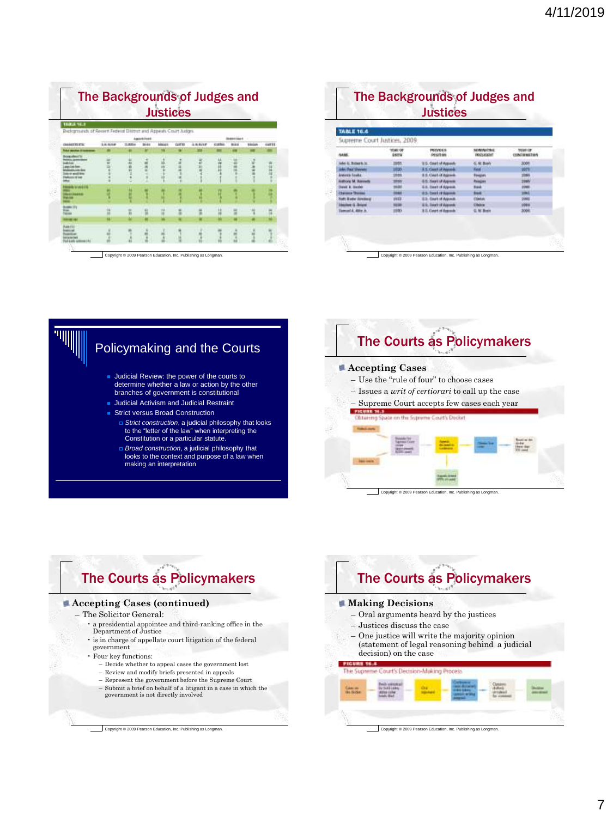| <b>Justices</b><br><b>TABLE 16.3</b>                             |                   |             |                    |                     |              |               |        |                               |  |       |
|------------------------------------------------------------------|-------------------|-------------|--------------------|---------------------|--------------|---------------|--------|-------------------------------|--|-------|
| Beckgrounds of Recent Federal District and Appeals Court Sudges. |                   |             | <b>MAIN FOR II</b> |                     |              |               |        | <b><i>BIR &amp; State</i></b> |  |       |
|                                                                  | <b>Literature</b> | <b>DUMA</b> | 1048               | <b><i>ABOAR</i></b> | <b>GALER</b> | <b>ALBURN</b> | 43,600 | 9144                          |  | 14744 |
|                                                                  |                   |             |                    |                     |              |               |        |                               |  |       |
|                                                                  |                   |             |                    |                     |              |               |        |                               |  |       |
| <b><i><u><i><u>b</u></i></u></i></b> www.<br>4144444             |                   |             |                    |                     |              |               |        |                               |  |       |
| <b>LIBRITY</b>                                                   |                   |             |                    |                     |              |               |        |                               |  |       |
|                                                                  |                   |             |                    |                     |              |               |        |                               |  |       |

| <b>TABLE 16.4</b>            |                   |                              |                                |                               |  |
|------------------------------|-------------------|------------------------------|--------------------------------|-------------------------------|--|
| Supreme Court Justices, 2009 |                   |                              |                                |                               |  |
|                              | YEAR OF<br>Espria | PRINTOLEN<br>PESTRIA         | NOMINATING<br><b>DOGS ROAD</b> | <b>YEAR OF</b><br>CONTRACTIVA |  |
| Jules & Boherts III.         |                   | U.S. Creek of Apposit        | G. N. Bush                     | 2001                          |  |
| John, Raiar Ghawami          |                   | <b>I.S. Court of Amount</b>  | <b>Time</b>                    |                               |  |
| <b>Antonym Routta</b>        | <b>HTM</b>        | <b>E.S. Court of Aspeak</b>  | <b><i><u>Rivatori</u></i></b>  |                               |  |
| <b>Authors M. Raynetts</b>   | 89.               | <b>E.S. Zeart of Appeals</b> | Painting                       |                               |  |
| <b>Spiel &amp; Harder</b>    |                   | Ed-Destut Alyssa             | <b>Back</b>                    | 20MH                          |  |
| <b>Claiming Thomas</b>       | 10.64             | <b>85-bast stripped</b>      | <b>Suck</b>                    | m                             |  |
| <b>Suff: Kyelv: Jondaug</b>  | <b>SHILL</b>      | <b>ED. DIMT OF AGRAIN</b>    | <b>Classic</b>                 | 1998                          |  |
| <b>Millett G. Briefel</b>    | 38.38             | <b>ES. Dert of Agent</b>     | <b>CRANK</b>                   |                               |  |
| lamost A. Alice Jr.          | <b>HRIG</b>       | 8.0. Court of Associa-       | G. N. Byen                     | 1004                          |  |

Copyright © 2009 Pearson Education, Inc. Publishing as Longman.

# Policymaking and the Courts

- Judicial Review: the power of the courts to determine whether a law or action by the other branches of government is constitutional
- **Judicial Activism and Judicial Restraint**
- Strict versus Broad Construction
	- *Strict construction*, a judicial philosophy that looks to the "letter of the law" when interpreting the Constitution or a particular statute.
	- *Broad construction*, a judicial philosophy that looks to the context and purpose of a law when making an interpretation

## The Courts as Policymakers

#### **Accepting Cases**

<u> 1990 - Marie II, ameri</u>kan

- Use the "rule of four" to choose cases
- Issues a *writ of certiorari* to call up the case
- Supreme Court accepts few cases each year

# Clinieing Space on the Supreme Court's Doctor

Copyright © 2009 Pearson Education, Inc. Publishing as Longman.

**Darwick** 

# The Courts as Policymakers

#### **Accepting Cases (continued)**

- The Solicitor General:
	- a presidential appointee and third-ranking office in the Department of Justice
	- $\cdot$  is in charge of appellate court litigation of the federal
	- government
	- Four key functions:
		- Decide whether to appeal cases the government lost
		- Review and modify briefs presented in appeals
		- Represent the government before the Supreme Court
		- Submit a brief on behalf of a litigant in a case in which the government is not directly involved

Copyright © 2009 Pearson Education, Inc. Publishing as Longman.

# The Courts as Policymakers

#### **Making Decisions**

- Oral arguments heard by the justices
- Justices discuss the case
- One justice will write the majority opinion (statement of legal reasoning behind a judicial decision) on the case

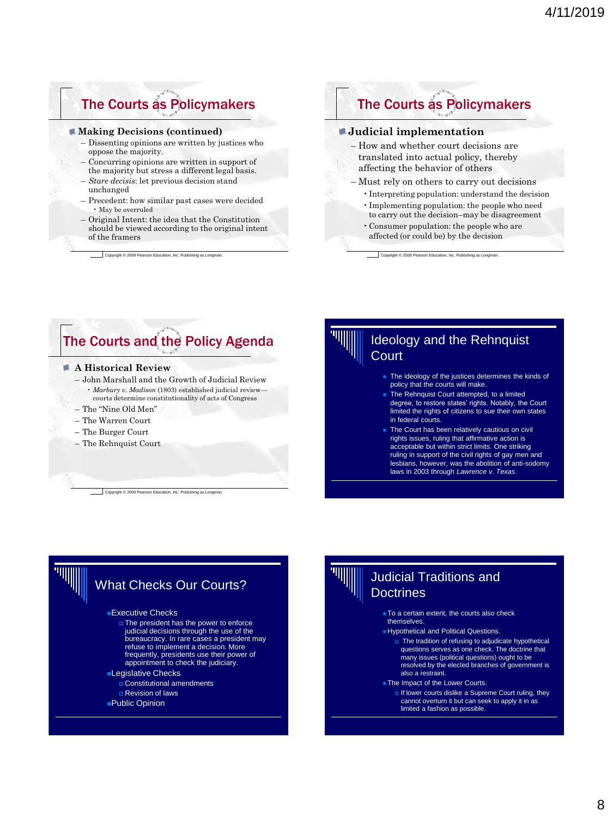## The Courts as Policymakers

#### **Making Decisions (continued)**

- Dissenting opinions are written by justices who oppose the majority.
- Concurring opinions are written in support of the majority but stress a different legal basis.
- *Stare decisis*: let previous decision stand unchanged
- Precedent: how similar past cases were decided • May be overruled
- Original Intent: the idea that the Constitution should be viewed according to the original intent of the framers

Copyright © 2009 Pearson Education, Inc. Publishing as Longman.

## The Courts as Policymakers

#### **Judicial implementation**

- How and whether court decisions are translated into actual policy, thereby affecting the behavior of others
- Must rely on others to carry out decisions
	- •Interpreting population: understand the decision
	- •Implementing population: the people who need to carry out the decision–may be disagreement
	- •Consumer population: the people who are affected (or could be) by the decision

Copyright © 2009 Pearson Education, Inc. Publishing as Longman.

## The Courts and the Policy Agenda

#### **A Historical Review**

- John Marshall and the Growth of Judicial Review • *Marbury v. Madison* (1803) established judicial review
	- courts determine constitutionality of acts of Congress
- The "Nine Old Men"
- The Warren Court
- The Burger Court
- The Rehnquist Court

Copyright © 2009 Pearson Education, Inc. Publishing as Longman.

### Ideology and the Rehnquist **Court**

- The ideology of the justices determines the kinds of policy that the courts will make.
- The Rehnquist Court attempted, to a limited degree, to restore states' rights. Notably, the Court limited the rights of citizens to sue their own states in federal courts.
- The Court has been relatively cautious on civil rights issues, ruling that affirmative action is acceptable but within strict limits. One striking ruling in support of the civil rights of gay men and lesbians, however, was the abolition of anti-sodomy laws in 2003 through *Lawrence v. Texas*.

# What Checks Our Courts?

#### ■Executive Checks

 The president has the power to enforce judicial decisions through the use of the bureaucracy. In rare cases a president may refuse to implement a decision. More frequently, presidents use their power of appointment to check the judiciary.

#### ■Legislative Checks

- Constitutional amendments
- Revision of laws
- ■Public Opinion

## Judicial Traditions and **Doctrines**

- To a certain extent, the courts also check themselves.
- Hypothetical and Political Questions.
	- The tradition of refusing to adjudicate hypothetical questions serves as one check. The doctrine that many issues (political questions) ought to be resolved by the elected branches of government is
- also a restraint. ■ The Impact of the Lower Courts.
	- If lower courts dislike a Supreme Court ruling, they cannot overturn it but can seek to apply it in as limited a fashion as possible.